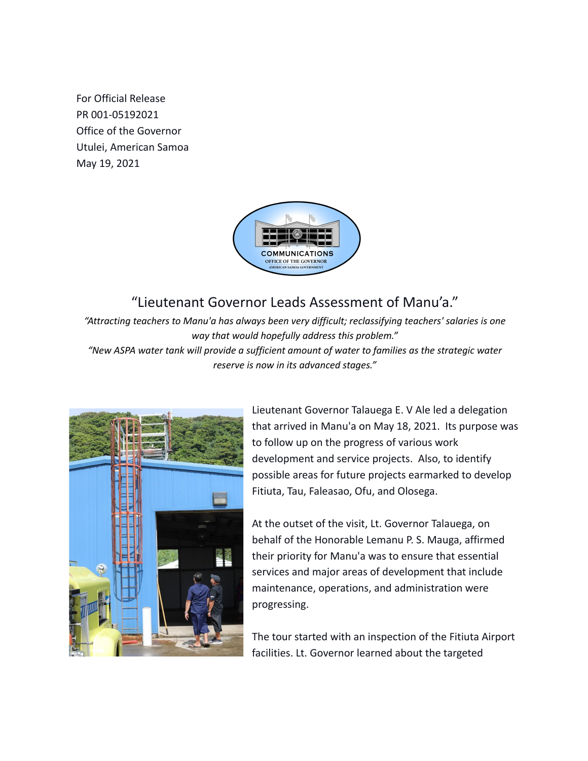For Official Release PR 001-05192021 Office of the Governor Utulei, American Samoa May 19, 2021



## "Lieutenant Governor Leads Assessment of Manu'a."

*"Attracting teachers to Manu'a has always been very difficult; reclassifying teachers' salaries is one way that would hopefully address this problem." "New ASPA water tank will provide a sufficient amount of water to families as the strategic water reserve is now in its advanced stages."*



Lieutenant Governor Talauega E. V Ale led a delegation that arrived in Manu'a on May 18, 2021. Its purpose was to follow up on the progress of various work development and service projects. Also, to identify possible areas for future projects earmarked to develop Fitiuta, Tau, Faleasao, Ofu, and Olosega.

At the outset of the visit, Lt. Governor Talauega, on behalf of the Honorable Lemanu P. S. Mauga, affirmed their priority for Manu'a was to ensure that essential services and major areas of development that include maintenance, operations, and administration were progressing.

The tour started with an inspection of the Fitiuta Airport facilities. Lt. Governor learned about the targeted